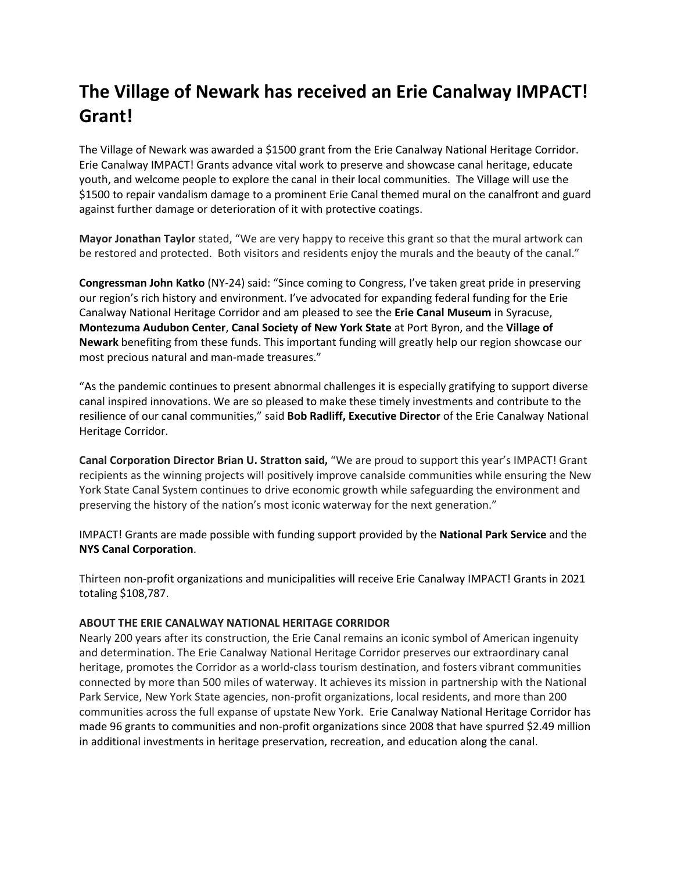## **The Village of Newark has received an Erie Canalway IMPACT! Grant!**

The Village of Newark was awarded a \$1500 grant from the Erie Canalway National Heritage Corridor. Erie Canalway IMPACT! Grants advance vital work to preserve and showcase canal heritage, educate youth, and welcome people to explore the canal in their local communities.The Village will use the \$1500 to repair vandalism damage to a prominent Erie Canal themed mural on the canalfront and guard against further damage or deterioration of it with protective coatings.

**Mayor Jonathan Taylor** stated, "We are very happy to receive this grant so that the mural artwork can be restored and protected. Both visitors and residents enjoy the murals and the beauty of the canal."

**Congressman John Katko** (NY-24) said: "Since coming to Congress, I've taken great pride in preserving our region's rich history and environment. I've advocated for expanding federal funding for the Erie Canalway National Heritage Corridor and am pleased to see the **Erie Canal Museum** in Syracuse, **Montezuma Audubon Center**, **Canal Society of New York State** at Port Byron, and the **Village of Newark** benefiting from these funds. This important funding will greatly help our region showcase our most precious natural and man-made treasures."

"As the pandemic continues to present abnormal challenges it is especially gratifying to support diverse canal inspired innovations. We are so pleased to make these timely investments and contribute to the resilience of our canal communities," said **Bob Radliff, Executive Director** of the Erie Canalway National Heritage Corridor.

**Canal Corporation Director Brian U. Stratton said,** "We are proud to support this year's IMPACT! Grant recipients as the winning projects will positively improve canalside communities while ensuring the New York State Canal System continues to drive economic growth while safeguarding the environment and preserving the history of the nation's most iconic waterway for the next generation."

IMPACT! Grants are made possible with funding support provided by the **National Park Service** and the **NYS Canal Corporation**.

Thirteen non-profit organizations and municipalities will receive Erie Canalway IMPACT! Grants in 2021 totaling \$108,787.

## **ABOUT THE ERIE CANALWAY NATIONAL HERITAGE CORRIDOR**

Nearly 200 years after its construction, the Erie Canal remains an iconic symbol of American ingenuity and determination. The Erie Canalway National Heritage Corridor preserves our extraordinary canal heritage, promotes the Corridor as a world-class tourism destination, and fosters vibrant communities connected by more than 500 miles of waterway. It achieves its mission in partnership with the National Park Service, New York State agencies, non-profit organizations, local residents, and more than 200 communities across the full expanse of upstate New York. Erie Canalway National Heritage Corridor has made 96 grants to communities and non-profit organizations since 2008 that have spurred \$2.49 million in additional investments in heritage preservation, recreation, and education along the canal.